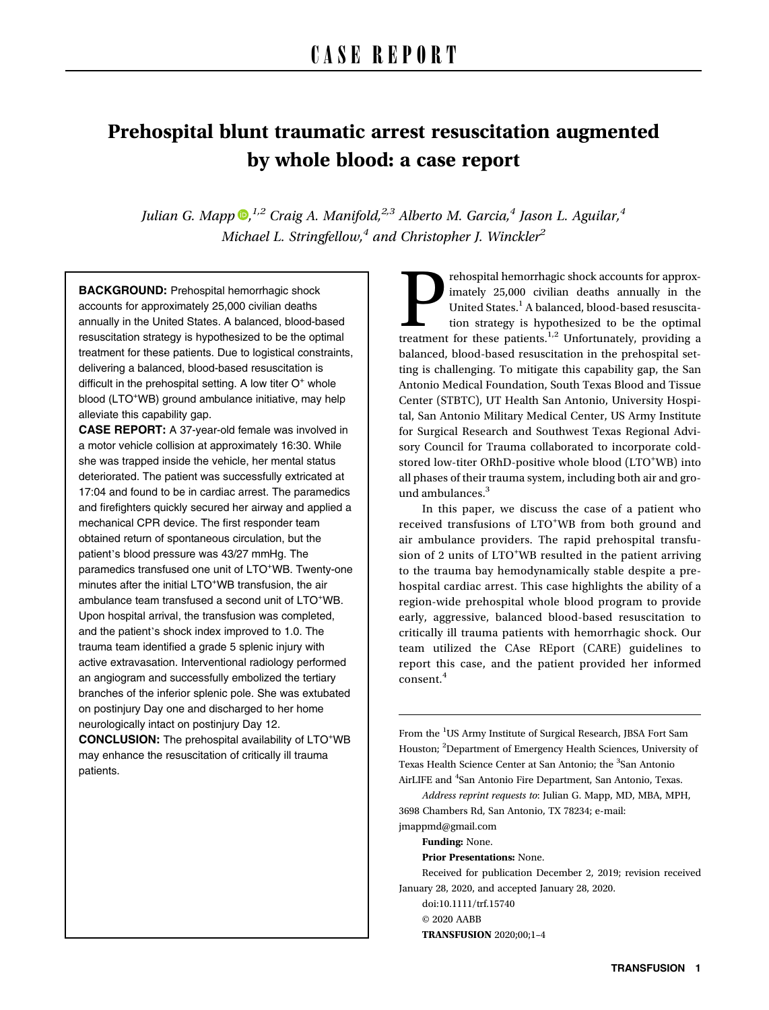# Prehospital blunt traumatic arrest resuscitation augmented by whole blood: a case report

Julian G. Mapp  $\mathbf{D}$ [,](https://orcid.org/0000-0002-3562-9189) <sup>1,2</sup> Craig A. Manifold, <sup>2,3</sup> Alberto M. Garcia, <sup>4</sup> Jason L. Aguilar, <sup>4</sup> Michael L. Stringfellow,<sup>4</sup> and Christopher J. Winckler<sup>2</sup>

BACKGROUND: Prehospital hemorrhagic shock accounts for approximately 25,000 civilian deaths annually in the United States. A balanced, blood-based resuscitation strategy is hypothesized to be the optimal treatment for these patients. Due to logistical constraints, delivering a balanced, blood-based resuscitation is difficult in the prehospital setting. A low titer  $O<sup>+</sup>$  whole blood (LTO<sup>+</sup>WB) ground ambulance initiative, may help alleviate this capability gap.

CASE REPORT: A 37-year-old female was involved in a motor vehicle collision at approximately 16:30. While she was trapped inside the vehicle, her mental status deteriorated. The patient was successfully extricated at 17:04 and found to be in cardiac arrest. The paramedics and firefighters quickly secured her airway and applied a mechanical CPR device. The first responder team obtained return of spontaneous circulation, but the patient's blood pressure was 43/27 mmHg. The paramedics transfused one unit of LTO<sup>+</sup>WB. Twenty-one minutes after the initial LTO<sup>+</sup>WB transfusion, the air ambulance team transfused a second unit of LTO<sup>+</sup>WB. Upon hospital arrival, the transfusion was completed, and the patient's shock index improved to 1.0. The trauma team identified a grade 5 splenic injury with active extravasation. Interventional radiology performed an angiogram and successfully embolized the tertiary branches of the inferior splenic pole. She was extubated on postinjury Day one and discharged to her home neurologically intact on postinjury Day 12.

CONCLUSION: The prehospital availability of LTO<sup>+</sup>WB may enhance the resuscitation of critically ill trauma patients.

rehospital hemorrhagic shock accounts for approximately 25,000 civilian deaths annually in the United States.<sup>1</sup> A balanced, blood-based resuscitation strategy is hypothesized to be the optimal treatment for these patients imately 25,000 civilian deaths annually in the United States.<sup>1</sup> A balanced, blood-based resuscitation strategy is hypothesized to be the optimal balanced, blood-based resuscitation in the prehospital setting is challenging. To mitigate this capability gap, the San Antonio Medical Foundation, South Texas Blood and Tissue Center (STBTC), UT Health San Antonio, University Hospital, San Antonio Military Medical Center, US Army Institute for Surgical Research and Southwest Texas Regional Advisory Council for Trauma collaborated to incorporate coldstored low-titer ORhD-positive whole blood (LTO+WB) into all phases of their trauma system, including both air and ground ambulances.<sup>3</sup>

In this paper, we discuss the case of a patient who received transfusions of LTO<sup>+</sup>WB from both ground and air ambulance providers. The rapid prehospital transfusion of 2 units of LTO<sup>+</sup>WB resulted in the patient arriving to the trauma bay hemodynamically stable despite a prehospital cardiac arrest. This case highlights the ability of a region-wide prehospital whole blood program to provide early, aggressive, balanced blood-based resuscitation to critically ill trauma patients with hemorrhagic shock. Our team utilized the CAse REport (CARE) guidelines to report this case, and the patient provided her informed consent.<sup>4</sup>

From the <sup>1</sup>US Army Institute of Surgical Research, JBSA Fort Sam Houston; <sup>2</sup>Department of Emergency Health Sciences, University of Texas Health Science Center at San Antonio; the <sup>3</sup>San Antonio AirLIFE and <sup>4</sup>San Antonio Fire Department, San Antonio, Texas.

Address reprint requests to: Julian G. Mapp, MD, MBA, MPH, 3698 Chambers Rd, San Antonio, TX 78234; e-mail: [jmappmd@gmail.com](mailto:jmappmd@gmail.com)

Funding: None.

Prior Presentations: None.

Received for publication December 2, 2019; revision received January 28, 2020, and accepted January 28, 2020.

doi:10.1111/trf.15740 © 2020 AABB TRANSFUSION 2020;00;1–4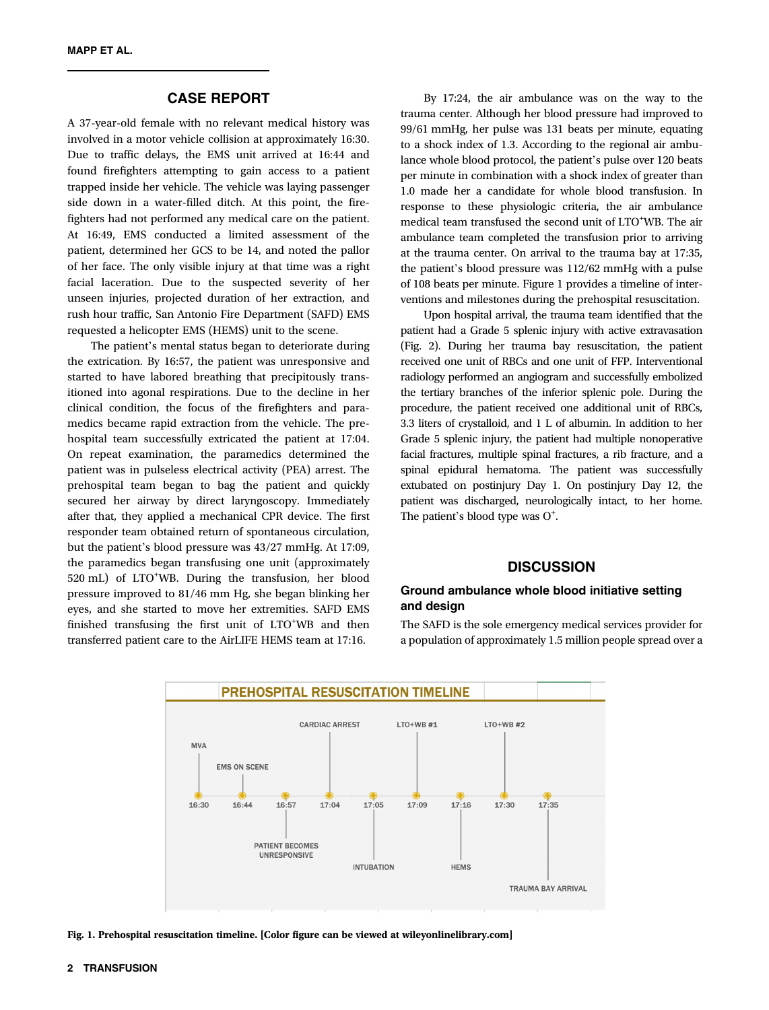# CASE REPORT

A 37-year-old female with no relevant medical history was involved in a motor vehicle collision at approximately 16:30. Due to traffic delays, the EMS unit arrived at 16:44 and found firefighters attempting to gain access to a patient trapped inside her vehicle. The vehicle was laying passenger side down in a water-filled ditch. At this point, the firefighters had not performed any medical care on the patient. At 16:49, EMS conducted a limited assessment of the patient, determined her GCS to be 14, and noted the pallor of her face. The only visible injury at that time was a right facial laceration. Due to the suspected severity of her unseen injuries, projected duration of her extraction, and rush hour traffic, San Antonio Fire Department (SAFD) EMS requested a helicopter EMS (HEMS) unit to the scene.

The patient's mental status began to deteriorate during the extrication. By 16:57, the patient was unresponsive and started to have labored breathing that precipitously transitioned into agonal respirations. Due to the decline in her clinical condition, the focus of the firefighters and paramedics became rapid extraction from the vehicle. The prehospital team successfully extricated the patient at 17:04. On repeat examination, the paramedics determined the patient was in pulseless electrical activity (PEA) arrest. The prehospital team began to bag the patient and quickly secured her airway by direct laryngoscopy. Immediately after that, they applied a mechanical CPR device. The first responder team obtained return of spontaneous circulation, but the patient's blood pressure was 43/27 mmHg. At 17:09, the paramedics began transfusing one unit (approximately 520 mL) of LTO<sup>+</sup>WB. During the transfusion, her blood pressure improved to 81/46 mm Hg, she began blinking her eyes, and she started to move her extremities. SAFD EMS finished transfusing the first unit of LTO<sup>+</sup>WB and then transferred patient care to the AirLIFE HEMS team at 17:16.

By 17:24, the air ambulance was on the way to the trauma center. Although her blood pressure had improved to 99/61 mmHg, her pulse was 131 beats per minute, equating to a shock index of 1.3. According to the regional air ambulance whole blood protocol, the patient's pulse over 120 beats per minute in combination with a shock index of greater than 1.0 made her a candidate for whole blood transfusion. In response to these physiologic criteria, the air ambulance medical team transfused the second unit of LTO<sup>+</sup>WB. The air ambulance team completed the transfusion prior to arriving at the trauma center. On arrival to the trauma bay at 17:35, the patient's blood pressure was 112/62 mmHg with a pulse of 108 beats per minute. Figure 1 provides a timeline of interventions and milestones during the prehospital resuscitation.

Upon hospital arrival, the trauma team identified that the patient had a Grade 5 splenic injury with active extravasation (Fig. 2). During her trauma bay resuscitation, the patient received one unit of RBCs and one unit of FFP. Interventional radiology performed an angiogram and successfully embolized the tertiary branches of the inferior splenic pole. During the procedure, the patient received one additional unit of RBCs, 3.3 liters of crystalloid, and 1 L of albumin. In addition to her Grade 5 splenic injury, the patient had multiple nonoperative facial fractures, multiple spinal fractures, a rib fracture, and a spinal epidural hematoma. The patient was successfully extubated on postinjury Day 1. On postinjury Day 12, the patient was discharged, neurologically intact, to her home. The patient's blood type was  $O^*$ .

## **DISCUSSION**

## Ground ambulance whole blood initiative setting and design

The SAFD is the sole emergency medical services provider for a population of approximately 1.5 million people spread over a



Fig. 1. Prehospital resuscitation timeline. [Color figure can be viewed at [wileyonlinelibrary.com](http://wileyonlinelibrary.com)]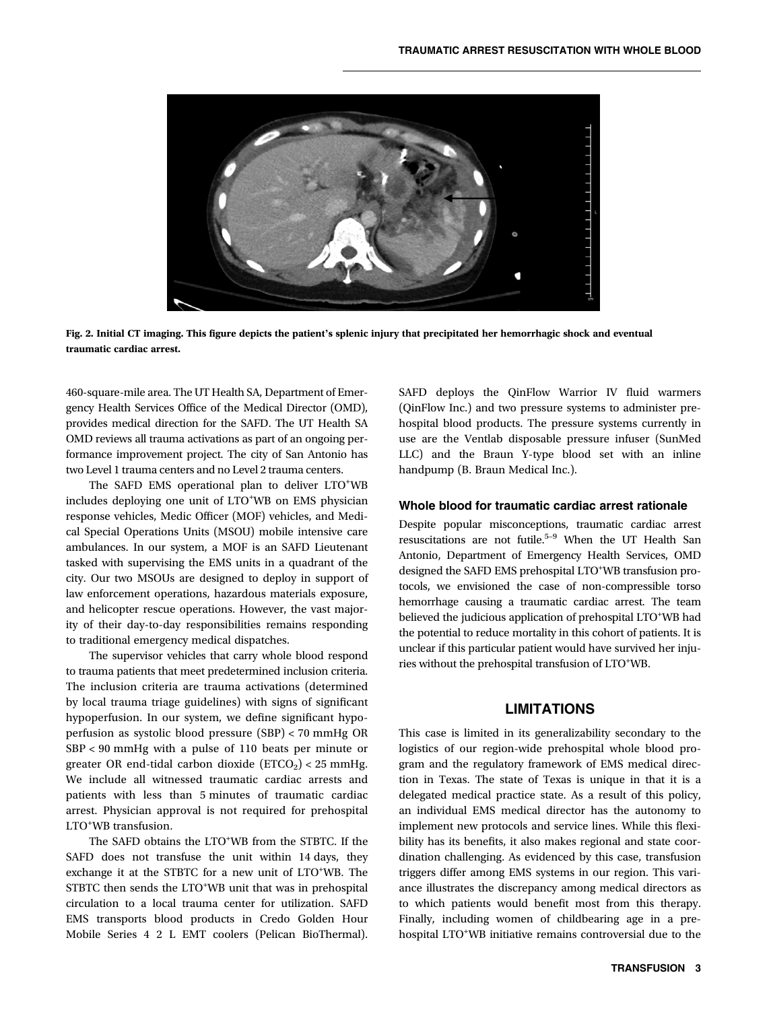

Fig. 2. Initial CT imaging. This figure depicts the patient's splenic injury that precipitated her hemorrhagic shock and eventual traumatic cardiac arrest.

460-square-mile area. The UT Health SA, Department of Emergency Health Services Office of the Medical Director (OMD), provides medical direction for the SAFD. The UT Health SA OMD reviews all trauma activations as part of an ongoing performance improvement project. The city of San Antonio has two Level 1 trauma centers and no Level 2 trauma centers.

The SAFD EMS operational plan to deliver LTO<sup>+</sup>WB includes deploying one unit of LTO<sup>+</sup>WB on EMS physician response vehicles, Medic Officer (MOF) vehicles, and Medical Special Operations Units (MSOU) mobile intensive care ambulances. In our system, a MOF is an SAFD Lieutenant tasked with supervising the EMS units in a quadrant of the city. Our two MSOUs are designed to deploy in support of law enforcement operations, hazardous materials exposure, and helicopter rescue operations. However, the vast majority of their day-to-day responsibilities remains responding to traditional emergency medical dispatches.

The supervisor vehicles that carry whole blood respond to trauma patients that meet predetermined inclusion criteria. The inclusion criteria are trauma activations (determined by local trauma triage guidelines) with signs of significant hypoperfusion. In our system, we define significant hypoperfusion as systolic blood pressure (SBP) < 70 mmHg OR SBP < 90 mmHg with a pulse of 110 beats per minute or greater OR end-tidal carbon dioxide  $(ETCO<sub>2</sub>) < 25$  mmHg. We include all witnessed traumatic cardiac arrests and patients with less than 5 minutes of traumatic cardiac arrest. Physician approval is not required for prehospital LTO<sup>+</sup> WB transfusion.

The SAFD obtains the LTO<sup>+</sup>WB from the STBTC. If the SAFD does not transfuse the unit within 14 days, they exchange it at the STBTC for a new unit of LTO<sup>+</sup>WB. The STBTC then sends the LTO<sup>+</sup>WB unit that was in prehospital circulation to a local trauma center for utilization. SAFD EMS transports blood products in Credo Golden Hour Mobile Series 4 2 L EMT coolers (Pelican BioThermal). SAFD deploys the QinFlow Warrior IV fluid warmers (QinFlow Inc.) and two pressure systems to administer prehospital blood products. The pressure systems currently in use are the Ventlab disposable pressure infuser (SunMed LLC) and the Braun Y-type blood set with an inline handpump (B. Braun Medical Inc.).

## Whole blood for traumatic cardiac arrest rationale

Despite popular misconceptions, traumatic cardiac arrest resuscitations are not futile.5–<sup>9</sup> When the UT Health San Antonio, Department of Emergency Health Services, OMD designed the SAFD EMS prehospital LTO<sup>+</sup>WB transfusion protocols, we envisioned the case of non-compressible torso hemorrhage causing a traumatic cardiac arrest. The team believed the judicious application of prehospital LTO<sup>+</sup>WB had the potential to reduce mortality in this cohort of patients. It is unclear if this particular patient would have survived her injuries without the prehospital transfusion of LTO<sup>+</sup>WB.

## LIMITATIONS

This case is limited in its generalizability secondary to the logistics of our region-wide prehospital whole blood program and the regulatory framework of EMS medical direction in Texas. The state of Texas is unique in that it is a delegated medical practice state. As a result of this policy, an individual EMS medical director has the autonomy to implement new protocols and service lines. While this flexibility has its benefits, it also makes regional and state coordination challenging. As evidenced by this case, transfusion triggers differ among EMS systems in our region. This variance illustrates the discrepancy among medical directors as to which patients would benefit most from this therapy. Finally, including women of childbearing age in a prehospital LTO<sup>+</sup>WB initiative remains controversial due to the